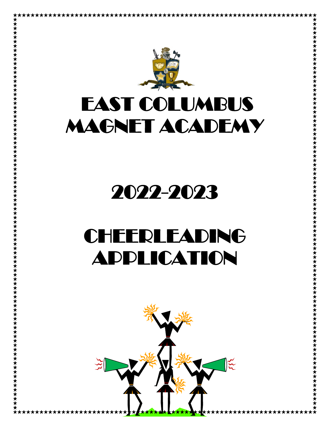

# EAST COLUMBUS MAGNET ACADEMY

# 2022-2023

# CHEERLEADING APPLICATION

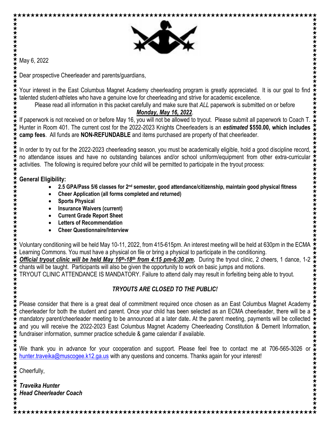

May 6, 2022

★★★★★★★★★★

**★★★★★★★★★★★★★★★★** 

Dear prospective Cheerleader and parents/guardians,

Your interest in the East Columbus Magnet Academy cheerleading program is greatly appreciated. It is our goal to find talented student-athletes who have a genuine love for cheerleading and strive for academic excellence.

Please read all information in this packet carefully and make sure that *ALL* paperwork is submitted on or before

### *Monday, May 16, 2022*.

If paperwork is not received on or before May 16, you will not be allowed to tryout. Please submit all paperwork to Coach T. Hunter in Room 401. The current cost for the 2022-2023 Knights Cheerleaders is an *estimated* **\$550.00, which includes camp fees**. All funds are **NON-REFUNDABLE** and items purchased are property of that cheerleader.

In order to try out for the 2022-2023 cheerleading season, you must be academically eligible, hold a good discipline record, no attendance issues and have no outstanding balances and/or school uniform/equipment from other extra-curricular activities. The following is required before your child will be permitted to participate in the tryout process:

**General Eligibility:** 

- **2.5 GPA/Pass 5/6 classes for 2nd semester, good attendance/citizenship, maintain good physical fitness**
- **Cheer Application (all forms completed and returned)**
- **Sports Physical**
- **Insurance Waivers (current)**
- **Current Grade Report Sheet**
- **Letters of Recommendation**
- **Cheer Questionnaire/Interview**

Voluntary conditioning will be held May 10-11, 2022, from 415-615pm. An interest meeting will be held at 630pm in the ECMA Learning Commons. You must have a physical on file or bring a physical to participate in the conditioning.

**Official tryout clinic will be held May 16<sup>th</sup>-18<sup>th</sup> from 4:15 pm-6:30 pm. During the tryout clinic, 2 cheers, 1 dance, 1-2** chants will be taught. Participants will also be given the opportunity to work on basic jumps and motions.

TRYOUT CLINIC ATTENDANCE IS MANDATORY. Failure to attend daily may result in forfeiting being able to tryout.

### *TRYOUTS ARE CLOSED TO THE PUBLIC!*

Please consider that there is a great deal of commitment required once chosen as an East Columbus Magnet Academy cheerleader for both the student and parent. Once your child has been selected as an ECMA cheerleader, there will be a mandatory parent/cheerleader meeting to be announced at a later date**.** At the parent meeting, payments will be collected and you will receive the 2022-2023 East Columbus Magnet Academy Cheerleading Constitution & Demerit Information, fundraiser information, summer practice schedule & game calendar if available.

We thank you in advance for your cooperation and support. Please feel free to contact me at 706-565-3026 or [hunter.traveika@muscogee.k12.ga.us](mailto:hunter.traveika@muscogee.k12.ga.us) with any questions and concerns. Thanks again for your interest!

\*\*\*\*\*\*\*\*\*\*\*\*\*\*\*\*

Cheerfully,

*Traveika Hunter Head Cheerleader Coach*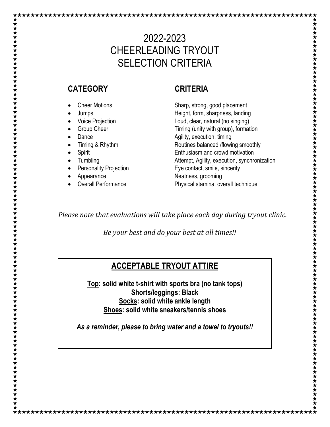## 2022-2023 CHEERLEADING TRYOUT SELECTION CRITERIA

### **CATEGORY CRITERIA**

\*\*\*\*\*\*\*\*\*\*\*\*\*\*\*\*\*\*\*\*\*\*

- 
- 
- 
- 
- 
- 

- 
- 
- 
- 

• Cheer Motions Sharp, strong, good placement • Jumps Height, form, sharpness, landing • Voice Projection Loud, clear, natural (no singing) • Group Cheer **Timing (unity with group)**, formation **Dance Example 2 CONFIDENTIFY Agility, execution, timing** • Timing & Rhythm Routines balanced /flowing smoothly • Spirit Enthusiasm and crowd motivation Tumbling **Figure 2018** Attempt, Agility, execution, synchronization Personality Projection Eye contact, smile, sincerity Appearance **Neatness**, grooming Overall Performance **Physical stamina, overall technique** 

*Please note that evaluations will take place each day during tryout clinic.*

*Be your best and do your best at all times!!*

### **ACCEPTABLE TRYOUT ATTIRE**

**Top: solid white t-shirt with sports bra (no tank tops) Shorts/leggings: Black Socks: solid white ankle length Shoes: solid white sneakers/tennis shoes**

*As a reminder, please to bring water and a towel to tryouts!!*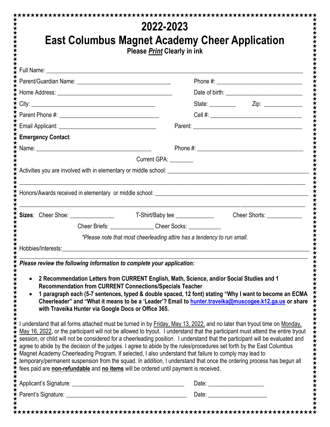|                                                                                                                                                                                                                                                                         | 2022-2023                                                                                                              |                                                                                                                                                                                                                                                                                                                                                                                                                                                                                                             |
|-------------------------------------------------------------------------------------------------------------------------------------------------------------------------------------------------------------------------------------------------------------------------|------------------------------------------------------------------------------------------------------------------------|-------------------------------------------------------------------------------------------------------------------------------------------------------------------------------------------------------------------------------------------------------------------------------------------------------------------------------------------------------------------------------------------------------------------------------------------------------------------------------------------------------------|
|                                                                                                                                                                                                                                                                         |                                                                                                                        | <b>East Columbus Magnet Academy Cheer Application</b>                                                                                                                                                                                                                                                                                                                                                                                                                                                       |
|                                                                                                                                                                                                                                                                         | Please <b>Print</b> Clearly in ink                                                                                     |                                                                                                                                                                                                                                                                                                                                                                                                                                                                                                             |
|                                                                                                                                                                                                                                                                         |                                                                                                                        |                                                                                                                                                                                                                                                                                                                                                                                                                                                                                                             |
|                                                                                                                                                                                                                                                                         |                                                                                                                        |                                                                                                                                                                                                                                                                                                                                                                                                                                                                                                             |
|                                                                                                                                                                                                                                                                         |                                                                                                                        |                                                                                                                                                                                                                                                                                                                                                                                                                                                                                                             |
|                                                                                                                                                                                                                                                                         |                                                                                                                        | State: _____________  Zip: ______________                                                                                                                                                                                                                                                                                                                                                                                                                                                                   |
|                                                                                                                                                                                                                                                                         |                                                                                                                        |                                                                                                                                                                                                                                                                                                                                                                                                                                                                                                             |
|                                                                                                                                                                                                                                                                         |                                                                                                                        |                                                                                                                                                                                                                                                                                                                                                                                                                                                                                                             |
| <b>Emergency Contact:</b>                                                                                                                                                                                                                                               |                                                                                                                        |                                                                                                                                                                                                                                                                                                                                                                                                                                                                                                             |
|                                                                                                                                                                                                                                                                         |                                                                                                                        |                                                                                                                                                                                                                                                                                                                                                                                                                                                                                                             |
|                                                                                                                                                                                                                                                                         | Current GPA: ________                                                                                                  |                                                                                                                                                                                                                                                                                                                                                                                                                                                                                                             |
|                                                                                                                                                                                                                                                                         |                                                                                                                        |                                                                                                                                                                                                                                                                                                                                                                                                                                                                                                             |
|                                                                                                                                                                                                                                                                         |                                                                                                                        |                                                                                                                                                                                                                                                                                                                                                                                                                                                                                                             |
|                                                                                                                                                                                                                                                                         |                                                                                                                        |                                                                                                                                                                                                                                                                                                                                                                                                                                                                                                             |
|                                                                                                                                                                                                                                                                         |                                                                                                                        | Cheer Shorts: _____________                                                                                                                                                                                                                                                                                                                                                                                                                                                                                 |
|                                                                                                                                                                                                                                                                         | Cheer Briefs: ______________Cheer Socks: __________                                                                    |                                                                                                                                                                                                                                                                                                                                                                                                                                                                                                             |
|                                                                                                                                                                                                                                                                         | *Please note that most cheerleading attire has a tendency to run small.                                                |                                                                                                                                                                                                                                                                                                                                                                                                                                                                                                             |
| Hobbies/Interests: The Contract of the Contract of the Contract of the Contract of the Contract of the Contract of the Contract of the Contract of the Contract of the Contract of the Contract of the Contract of the Contrac                                          |                                                                                                                        |                                                                                                                                                                                                                                                                                                                                                                                                                                                                                                             |
|                                                                                                                                                                                                                                                                         |                                                                                                                        |                                                                                                                                                                                                                                                                                                                                                                                                                                                                                                             |
|                                                                                                                                                                                                                                                                         |                                                                                                                        |                                                                                                                                                                                                                                                                                                                                                                                                                                                                                                             |
| $\bullet$                                                                                                                                                                                                                                                               | <b>Recommendation from CURRENT Connections/Specials Teacher</b><br>with Traveika Hunter via Google Docs or Office 365. | 2 Recommendation Letters from CURRENT English, Math, Science, and/or Social Studies and 1                                                                                                                                                                                                                                                                                                                                                                                                                   |
|                                                                                                                                                                                                                                                                         |                                                                                                                        | I understand that all forms attached must be turned in by Eriday, May 13, 2022, and no later than tryout time on Monday,<br>session, or child will not be considered for a cheerleading position. I understand that the participant will be evaluated and<br>agree to abide by the decision of the judges. I agree to abide by the rules/procedures set forth by the East Columbus<br>temporary/permanent suspension from the squad. In addition, I understand that once the ordering process has begun all |
| Please review the following information to complete your application:<br>Magnet Academy Cheerleading Program. If selected, I also understand that failure to comply may lead to<br>fees paid are non-refundable and no items will be ordered until payment is received. |                                                                                                                        | 1 paragraph each (5-7 sentences, typed & double spaced, 12 font) stating "Why I want to become an ECMA<br>Cheerleader" and "What it means to be a 'Leader'? Email to hunter.traveika@muscogee.k12.ga.us or share<br>May 16, 2022, or the participant will not be allowed to tryout. I understand that the participant must attend the entire tryout                                                                                                                                                         |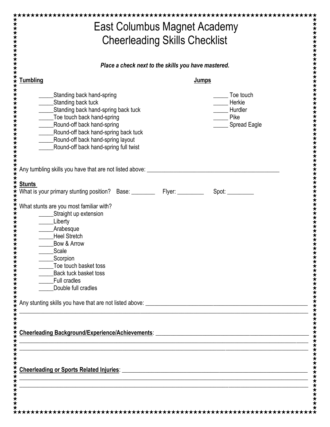| <b>Cheerleading Skills Checklist</b>                                                                                                                                                                                                                                            |                                                                                                                       |  |  |
|---------------------------------------------------------------------------------------------------------------------------------------------------------------------------------------------------------------------------------------------------------------------------------|-----------------------------------------------------------------------------------------------------------------------|--|--|
| Place a check next to the skills you have mastered.                                                                                                                                                                                                                             |                                                                                                                       |  |  |
| <b>Tumbling</b>                                                                                                                                                                                                                                                                 | <b>Jumps</b>                                                                                                          |  |  |
| Standing back hand-spring<br>Standing back tuck<br>Standing back hand-spring back tuck<br>____Toe touch back hand-spring<br>___Round-off back hand-spring<br>Round-off back hand-spring back tuck<br>Round-off back hand-spring layout<br>Round-off back hand-spring full twist | Toe touch<br>Herkie<br>Hurdler<br>Pike<br><b>Spread Eagle</b>                                                         |  |  |
| Any tumbling skills you have that are not listed above: __                                                                                                                                                                                                                      |                                                                                                                       |  |  |
| <b>Stunts</b>                                                                                                                                                                                                                                                                   |                                                                                                                       |  |  |
| What stunts are you most familiar with?<br>Straight up extension<br>Liberty<br>Arabesque<br><b>Heel Stretch</b><br>Bow & Arrow<br>Scale<br>Scorpion<br>Toe touch basket toss<br>Back tuck basket toss<br><b>Full cradles</b><br>Double full cradles                             |                                                                                                                       |  |  |
|                                                                                                                                                                                                                                                                                 | <u> 1989 - Johann Stoff, amerikansk politiker (d. 1989)</u>                                                           |  |  |
|                                                                                                                                                                                                                                                                                 |                                                                                                                       |  |  |
| <b>Cheerleading or Sports Related Injuries:</b>                                                                                                                                                                                                                                 | <u> 1989 - Johann Barn, mars ann an t-Amhain an t-Amhain an t-Amhain an t-Amhain an t-Amhain an t-Amhain an t-Amh</u> |  |  |
|                                                                                                                                                                                                                                                                                 |                                                                                                                       |  |  |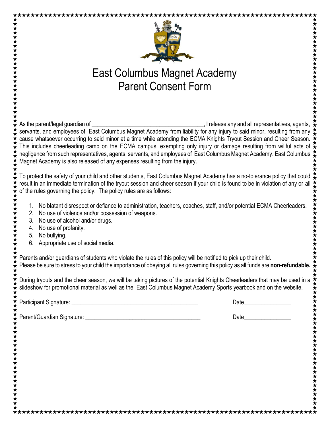



# East Columbus Magnet Academy Parent Consent Form

AS THE PART OF THE PART OF THE PART OF THE PART OF THE PART OF THE PART OF THE PART OF THE PART OF THE PART OF THE PART OF THE PART OF THE PART OF THE PART OF THE PART OF THE PART OF THE PART OF THE PART OF THE PART OF THE servants, and employees of East Columbus Magnet Academy from liability for any injury to said minor, resulting from any  $\stackrel{\star}{\star}$  cause whatsoever occurring to said minor at a time while attending the ECMA Knights Tryout cause whatsoever occurring to said minor at a time while attending the ECMA Knights Tryout Session and Cheer Season. This includes cheerleading camp on the ECMA campus, exempting only injury or damage resulting from willful acts of  $\star$ negligence from such representatives, agents, servants, and employees of East Columbus Magnet Academy. East Columbus  $\frac{1}{2}$ Magnet Academy is also released of any expenses resulting from the injury.

To protect the safety of your child and other students, East Columbus Magnet Academy has a no-tolerance policy that could result in an immediate termination of the tryout session and cheer season if your child is found to be in violation of any or all of the rules governing the policy. The policy rules are as follows:

- 1. No blatant disrespect or defiance to administration, teachers, coaches, staff, and/or potential ECMA Cheerleaders.
- 2. No use of violence and/or possession of weapons.
- 3. No use of alcohol and/or drugs.
- 4. No use of profanity.
- 5. No bullying.

\*\*\*\*\*\*\*\*\*\*\*\*\*\*\*\*\*\*\*\*\*\*\*\*\*\*\*

★★★★★★★★★★★★★★★

\*\*\*\*\*\*\*\*\*\*\*\*\*\*\*\*\*\*\*\*\*\*\*

6. Appropriate use of social media.

Parents and/or guardians of students who violate the rules of this policy will be notified to pick up their child. Please be sure to stress to your child the importance of obeying all rules governing this policy as all funds are **non-refundable.**

During tryouts and the cheer season, we will be taking pictures of the potential Knights Cheerleaders that may be used in a slideshow for promotional material as well as the East Columbus Magnet Academy Sports yearbook and on the website.

Participant Signature: \_\_\_\_\_\_\_\_\_\_\_\_\_\_\_\_\_\_\_\_\_\_\_\_\_\_\_\_\_\_\_\_\_\_\_\_\_\_\_\_\_\_\_ Date\_\_\_\_\_\_\_\_\_\_\_\_\_\_\_\_

Parent/Guardian Signature: \_\_\_\_\_\_\_\_\_\_\_\_\_\_\_\_\_\_\_\_\_\_\_\_\_\_\_\_\_\_\_\_\_\_\_\_\_\_\_ Date\_\_\_\_\_\_\_\_\_\_\_\_\_\_\_\_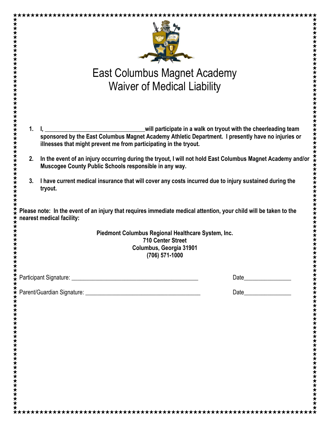